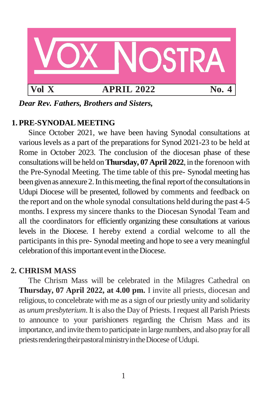

*Dear Rev. Fathers, Brothers and Sisters,*

# **1. PRE-SYNODALMEETING**

Since October 2021, we have been having Synodal consultations at various levels as a part of the preparations for Synod 2021-23 to be held at Rome in October 2023. The conclusion of the diocesan phase of these consultationswill be held on**Thursday, 07 April 2022**, in the forenoon with the Pre-Synodal Meeting. The time table of this pre- Synodal meeting has been given as annexure 2. In this meeting, the final report of the consultations in Udupi Diocese will be presented, followed by comments and feedback on the report and on the whole synodal consultations held during the past 4-5 months. I express my sincere thanks to the Diocesan Synodal Team and all the coordinators for efficiently organizing these consultations at various levels in the Diocese. I hereby extend a cordial welcome to all the participants in this pre- Synodal meeting and hope to see a very meaningful celebration of this important event in the Diocese.

# **2. CHRISM MASS**

The Chrism Mass will be celebrated in the Milagres Cathedral on **Thursday, 07 April 2022, at 4.00 pm.** I invite all priests, diocesan and religious, to concelebrate with me as a sign of our priestly unity and solidarity as *unum presbyterium*. It is also the Day of Priests. I request all Parish Priests to announce to your parishioners regarding the Chrism Mass and its importance, and invite themto participate in large numbers, and alsoprayfor all priests rendering their pastoral ministry in the Diocese of Udupi.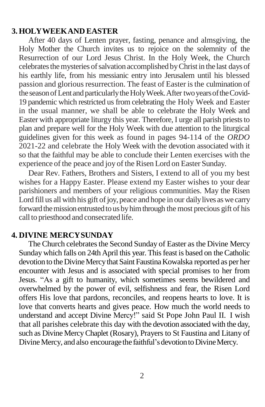### **3. HOLYWEEKAND EASTER**

After 40 days of Lenten prayer, fasting, penance and almsgiving, the Holy Mother the Church invites us to rejoice on the solemnity of the Resurrection of our Lord Jesus Christ. In the Holy Week, the Church celebrates the mysteries of salvation accomplished by Christ in the last days of his earthly life, from his messianic entry into Jerusalem until his blessed passion and glorious resurrection. The feast of Easter is the culmination of the season of Lent and particularly the Holy Week. After two years of the Covid-19 pandemic which restricted us from celebrating the Holy Week and Easter in the usual manner, we shall be able to celebrate the Holy Week and Easter with appropriate liturgy this year. Therefore, I urge all parish priests to plan and prepare well for the Holy Week with due attention to the liturgical guidelines given for this week as found in pages 94-114 of the *ORDO* 2021-22 and celebrate the Holy Week with the devotion associated with it so that the faithful may be able to conclude their Lenten exercises with the experience of the peace and joy of the Risen Lord on Easter Sunday.

Dear Rev. Fathers, Brothers and Sisters, I extend to all of you my best wishes for a Happy Easter. Please extend my Easter wishes to your dear parishioners and members of your religious communities. May the Risen Lord fill us all with his gift of joy, peace and hope in our daily lives as we carry forward the mission entrusted to us by him through the most precious gift of his call to priesthood and consecrated life.

### **4. DIVINE MERCYSUNDAY**

The Church celebrates the Second Sunday of Easter as the Divine Mercy Sunday which falls on 24th April this year. This feast is based on the Catholic devotion to the Divine Mercy that Saint Faustina Kowalska reported as per her encounter with Jesus and is associated with special promises to her from Jesus. "As a gift to humanity, which sometimes seems bewildered and overwhelmed by the power of evil, selfishness and fear, the Risen Lord offers His love that pardons, reconciles, and reopens hearts to love. It is love that converts hearts and gives peace. How much the world needs to understand and accept Divine Mercy!" said St Pope John Paul II. I wish that all parishes celebrate this day with the devotion associated with the day, such as Divine MercyChaplet (Rosary), Prayers to St Faustina and Litany of Divine Mercy, and also encourage the faithful's devotion to Divine Mercy.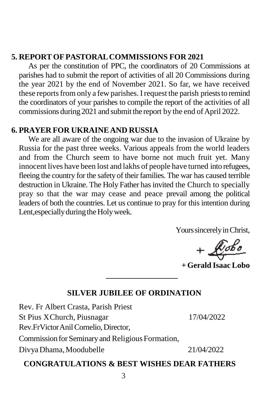### **5. REPORT OFPASTORALCOMMISSIONS FOR 2021**

As per the constitution of PPC, the coordinators of 20 Commissions at parishes had to submit the report of activities of all 20 Commissions during the year 2021 by the end of November 2021. So far, we have received these reports from only a few parishes. I request the parish priests to remind the coordinators of your parishes to compile the report of the activities of all commissions during 2021 and submit the report by the end of April 2022.

### **6. PRAYER FOR UKRAINEAND RUSSIA**

We are all aware of the ongoing war due to the invasion of Ukraine by Russia for the past three weeks. Various appeals from the world leaders and from the Church seem to have borne not much fruit yet. Many innocent lives have been lost and lakhs of people have turned into refugees, fleeing the country for the safety of their families. The war has caused terrible destruction in Ukraine. The Holy Father has invited the Church to specially pray so that the war may cease and peace prevail among the political leaders of both the countries. Let us continue to pray for this intention during Lent, especially during the Holy week.

Yours sincerely in Christ,

 $+$ Robo

**+ Gerald Isaac Lobo**

#### **SILVER JUBILEE OF ORDINATION**

Rev. Fr Albert Crasta, Parish Priest St Pius XChurch, Piusnagar 17/04/2022 Rev.Fr Victor Anil Cornelio, Director, Commission for Seminary and Religious Formation, DivyaDhama,Moodubelle 21/04/2022

#### **CONGRATULATIONS & BEST WISHES DEAR FATHERS**